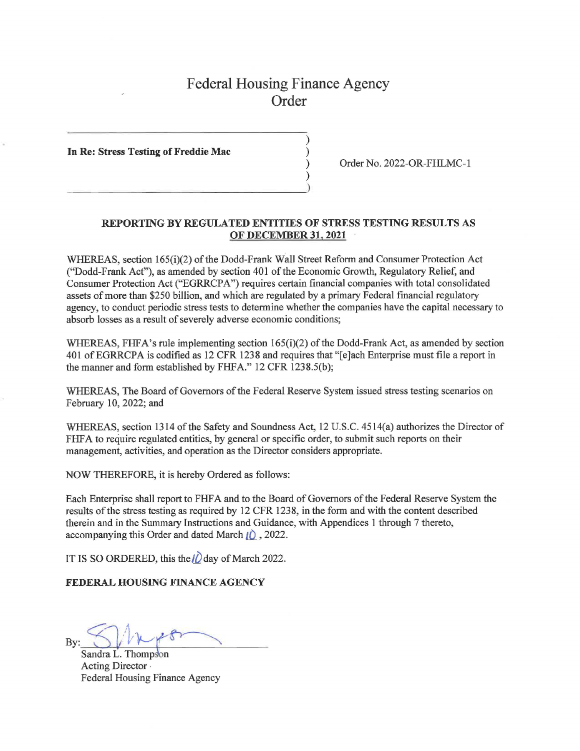## Federal Housing Finance Agency **Order**

)

)

**In Re: Stress Testing of Freddie Mac** )

 $\begin{pmatrix} 1 \\ 2 \end{pmatrix}$ 

) Order No. 2022-OR-FHLMC-1

## **REPORTING BY REGULATED ENTITIES OF STRESS TESTING RESULTS AS OF DECEMBER 31, 2021**

WHEREAS, section 165(i)(2) of the Dodd-Frank Wall Street Reform and Consumer Protection Act ("Dodd-Frank Act"), as amended by section 401 of the Economic Growth, Regulatory Relief, and Consumer Protection Act ("EGRRCPA") requires certain financial companies with total consolidated assets of more than \$250 billion, and which are regulated by a primary Federal financial regulatory agency, to conduct periodic stress tests to determine whether the companies have the capital necessary to absorb losses as a result of severely adverse economic conditions;

WHEREAS, FHPA's rule implementing section 165(i)(2) of the Dodd-Frank Act, as amended by section 401 of EGRRCPA is codified as 12 CFR 1238 and requires that "[e]ach Enterprise must file a report in the manner and form established by FHPA." 12 CFR 1238.S(b);

WHEREAS, The Board of Governors of the Federal Reserve System issued stress testing scenarios on February 10, 2022; and

WHEREAS, section 1314 of the Safety and Soundness Act, 12 U.S.C. 4514(a) authorizes the Director of FHFA to require regulated entities, by general or specific order, to submit such reports on their management, activities, and operation as the Director considers appropriate.

NOW THEREFORE, it is hereby Ordered as follows:

Each Enterprise shall report to FHP A and to the Board of Governors of the Federal Reserve System the results of the stress testing as required by 12 CFR 1238, in the form and with the content described therein and in the Summary Instructions and Guidance, with Appendices 1 through 7 thereto, accompanying this Order and dated March **LD\_** , 2022.

IT IS SO ORDERED, this the  $\ell$  day of March 2022.

**FEDERAL HOUSING FINANCE AGENCY** 

 $By: \mathcal{S} \longrightarrow \mathcal{S}$ <br>Sandra L. Thompson

Acting Director , Federal Housing Finance Agency